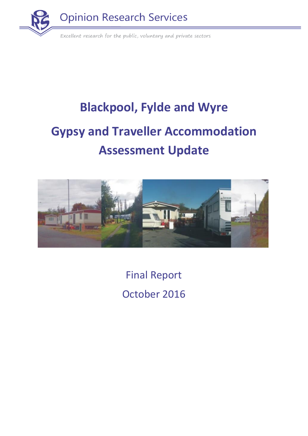

# **Blackpool, Fylde and Wyre Gypsy and Traveller Accommodation Assessment Update**



Final Report October 2016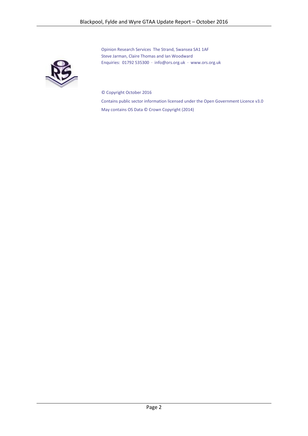Opinion Research Services The Strand, Swansea SA1 1AF Steve Jarman, Claire Thomas and Ian Woodward Enquiries: 01792 535300 · [info@ors.org.uk](mailto:info@ors.org.uk) · [www.ors.org.uk](http://www.ors.org.uk/)

© Copyright October 2016

Contains public sector information licensed under the Open Government Licence v3.0 May contains OS Data © Crown Copyright (2014)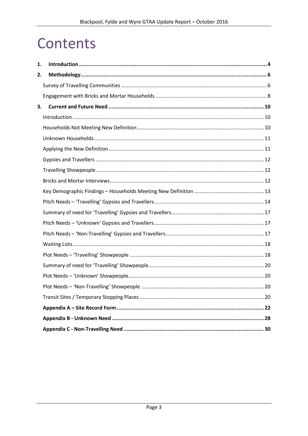## Contents

| 1. |  |
|----|--|
| 2. |  |
|    |  |
|    |  |
| 3. |  |
|    |  |
|    |  |
|    |  |
|    |  |
|    |  |
|    |  |
|    |  |
|    |  |
|    |  |
|    |  |
|    |  |
|    |  |
|    |  |
|    |  |
|    |  |
|    |  |
|    |  |
|    |  |
|    |  |
|    |  |
|    |  |
|    |  |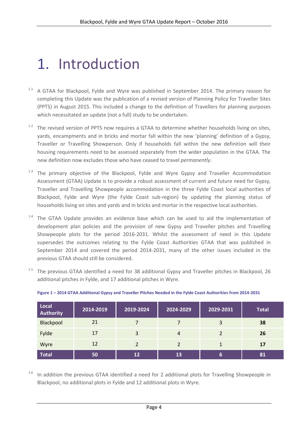# <span id="page-3-0"></span>1. Introduction

- $1.1$  A GTAA for Blackpool, Fylde and Wyre was published in September 2014. The primary reason for completing this Update was the publication of a revised version of Planning Policy for Traveller Sites (PPTS) in August 2015. This included a change to the definition of Travellers for planning purposes which necessitated an update (not a full) study to be undertaken.
- <sup>1.2</sup> The revised version of PPTS now requires a GTAA to determine whether households living on sites, yards, encampments and in bricks and mortar fall within the new 'planning' definition of a Gypsy, Traveller or Travelling Showperson. Only if households fall within the new definition will their housing requirements need to be assessed separately from the wider population in the GTAA. The new definition now excludes those who have ceased to travel *permanently*.
- <sup>1.3</sup> The primary objective of the Blackpool, Fylde and Wyre Gypsy and Traveller Accommodation Assessment (GTAA) Update is to provide a robust assessment of current and future need for Gypsy, Traveller and Travelling Showpeople accommodation in the three Fylde Coast local authorities of Blackpool, Fylde and Wyre (the Fylde Coast sub-region) by updating the planning status of households living on sites and yards and in bricks and mortar in the respective local authorities.
- $1.4$  The GTAA Update provides an evidence base which can be used to aid the implementation of development plan policies and the provision of new Gypsy and Traveller pitches and Travelling Showpeople plots for the period 2016-2031. Whilst the assessment of need in this Update supersedes the outcomes relating to the Fylde Coast Authorities GTAA that was published in September 2014 and covered the period 2014-2031, many of the other issues included in the previous GTAA should still be considered.
- <sup>1.5</sup> The previous GTAA identified a need for 38 additional Gypsy and Traveller pitches in Blackpool, 26 additional pitches in Fylde, and 17 additional pitches in Wyre.

| Local<br><b>Authority</b> | 2014-2019 | 2019-2024     | 2024-2029      | 2029-2031 | <b>Total</b> |
|---------------------------|-----------|---------------|----------------|-----------|--------------|
| Blackpool                 | 21        |               |                | 3         | 38           |
| Fylde                     | 17        | 3             | $\overline{4}$ |           | 26           |
| Wyre                      | 12        | $\mathcal{P}$ | $\mathcal{P}$  |           | 17           |
| <b>Total</b>              | 50        | 12            | 13             | 6         | 81           |

**Figure 1 – 2014 GTAA Additional Gypsy and Traveller Pitches Needed in the Fylde Coast Authorities from 2014-2031**

<sup>1.6</sup> In addition the previous GTAA identified a need for 2 additional plots for Travelling Showpeople in Blackpool, no additional plots in Fylde and 12 additional plots in Wyre.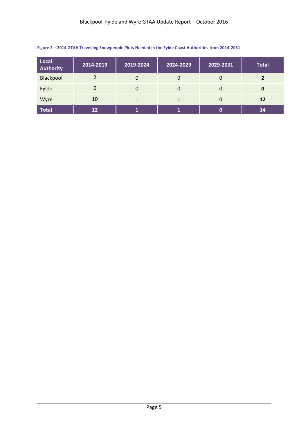| Local<br><b>Authority</b> | 2014-2019 | 2019-2024 | 2024-2029 | 2029-2031 | <b>Total</b> |
|---------------------------|-----------|-----------|-----------|-----------|--------------|
| Blackpool                 |           | 0         | $\Omega$  | 0         |              |
| Fylde                     | 0         | 0         | $\Omega$  | 0         | 0            |
| Wyre                      | 10        |           |           | 0         | <b>12</b>    |
| <b>Total</b>              | 12        |           |           | 0         | 14           |

#### **Figure 2 – 2014 GTAA Travelling Showpeople Plots Needed in the Fylde Coast Authorities from 2014-2031**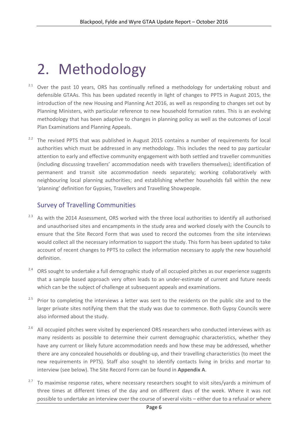# <span id="page-5-0"></span>2. Methodology

- <sup>2.1</sup> Over the past 10 years, ORS has continually refined a methodology for undertaking robust and defensible GTAAs. This has been updated recently in light of changes to PPTS in August 2015, the introduction of the new Housing and Planning Act 2016, as well as responding to changes set out by Planning Ministers, with particular reference to new household formation rates. This is an evolving methodology that has been adaptive to changes in planning policy as well as the outcomes of Local Plan Examinations and Planning Appeals.
- <sup>2.2</sup> The revised PPTS that was published in August 2015 contains a number of requirements for local authorities which must be addressed in any methodology. This includes the need to pay particular attention to early and effective community engagement with both settled and traveller communities (including discussing travellers' accommodation needs with travellers themselves); identification of permanent and transit site accommodation needs separately; working collaboratively with neighbouring local planning authorities; and establishing whether households fall within the new 'planning' definition for Gypsies, Travellers and Travelling Showpeople.

#### <span id="page-5-1"></span>Survey of Travelling Communities

- <sup>2.3</sup> As with the 2014 Assessment, ORS worked with the three local authorities to identify all authorised and unauthorised sites and encampments in the study area and worked closely with the Councils to ensure that the Site Record Form that was used to record the outcomes from the site interviews would collect all the necessary information to support the study. This form has been updated to take account of recent changes to PPTS to collect the information necessary to apply the new household definition.
- <sup>2.4</sup> ORS sought to undertake a full demographic study of all occupied pitches as our experience suggests that a sample based approach very often leads to an under-estimate of current and future needs which can be the subject of challenge at subsequent appeals and examinations.
- <sup>2.5</sup> Prior to completing the interviews a letter was sent to the residents on the public site and to the larger private sites notifying them that the study was due to commence. Both Gypsy Councils were also informed about the study.
- <sup>2.6</sup> All occupied pitches were visited by experienced ORS researchers who conducted interviews with as many residents as possible to determine their current demographic characteristics, whether they have any current or likely future accommodation needs and how these may be addressed, whether there are any concealed households or doubling-up, and their travelling characteristics (to meet the new requirements in PPTS). Staff also sought to identify contacts living in bricks and mortar to interview (see below). The Site Record Form can be found in **Appendix A**.
- <sup>2.7</sup> To maximise response rates, where necessary researchers sought to visit sites/yards a minimum of three times at different times of the day and on different days of the week. Where it was not possible to undertake an interview over the course of several visits – either due to a refusal or where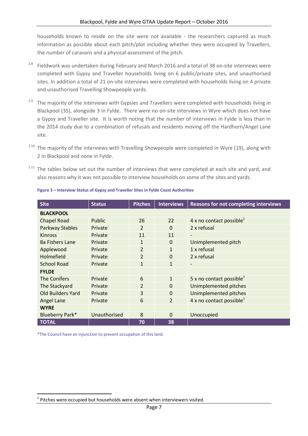households known to reside on the site were not available - the researchers captured as much information as possible about each pitch/plot including whether they were occupied by Travellers, the number of caravans and a physical assessment of the pitch.

- <sup>2.8</sup> Fieldwork was undertaken during February and March 2016 and a total of 38 on-site interviews were completed with Gypsy and Traveller households living on 6 public/private sites, and unauthorised sites. In addition a total of 21 on-site interviews were completed with households living on 4 private and unauthorised Travelling Showpeople yards.
- <sup>2.9</sup> The majority of the interviews with Gypsies and Travellers were completed with households living in Blackpool (35), alongside 3 in Fylde. There were no on-site interviews in Wyre which does not have a Gypsy and Traveller site. It is worth noting that the number of interviews in Fylde is less than in the 2014 study due to a combination of refusals and residents moving off the Hardhorn/Angel Lane site.
- <sup>2.10</sup> The majority of the interviews with Travelling Showpeople were completed in Wyre (19), along with 2 in Blackpool and none in Fylde.
- <sup>2.11</sup> The tables below set out the number of interviews that were completed at each site and yard, and also reasons why it was not possible to interview households on some of the sites and yards.

| <b>Site</b>              | <b>Status</b> | <b>Pitches</b> | <b>Interviews</b> | <b>Reasons for not completing interviews</b> |
|--------------------------|---------------|----------------|-------------------|----------------------------------------------|
| <b>BLACKPOOL</b>         |               |                |                   |                                              |
| <b>Chapel Road</b>       | Public        | 26             | 22                | 4 x no contact possible <sup>1</sup>         |
| <b>Parkway Stables</b>   | Private       | 2              | $\Omega$          | 2 x refusal                                  |
| <b>Kinross</b>           | Private       | 11             | 11                |                                              |
| 8a Fishers Lane          | Private       | $\mathbf{1}$   | $\Omega$          | Unimplemented pitch                          |
| Applewood                | Private       | $\overline{2}$ | $\mathbf{1}$      | 1 x refusal                                  |
| Holmefield               | Private       | $\overline{2}$ | $\mathbf 0$       | 2 x refusal                                  |
| <b>School Road</b>       | Private       | $\mathbf{1}$   | $\mathbf{1}$      | $\qquad \qquad \blacksquare$                 |
| <b>FYLDE</b>             |               |                |                   |                                              |
| The Conifers             | Private       | 6              | $\mathbf{1}$      | 5 x no contact possible <sup>1</sup>         |
| The Stackyard            | Private       | 2              | $\Omega$          | Unimplemented pitches                        |
| <b>Old Builders Yard</b> | Private       | 3              | $\Omega$          | Unimplemented pitches                        |
| Angel Lane               | Private       | 6              | $\overline{2}$    | 4 x no contact possible <sup>1</sup>         |
| <b>WYRE</b>              |               |                |                   |                                              |
| <b>Blueberry Park*</b>   | Unauthorised  | 8              | $\Omega$          | Unoccupied                                   |
| <b>TOTAL</b>             |               | 70             | 38                |                                              |

#### **Figure 3 – Interview Status of Gypsy and Traveller Sites in Fylde Coast Authorities**

\*The Council have an injunction to prevent occupation of this land.

**.** 

 $<sup>1</sup>$  Pitches were occupied but households were absent when interviewers visited.</sup>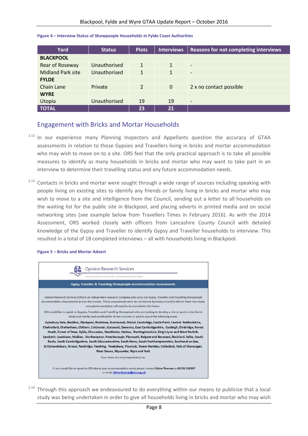| Yard                     | <b>Status</b> | <b>Plots</b>   | <b>Interviews</b> | <b>Reasons for not completing interviews</b> |
|--------------------------|---------------|----------------|-------------------|----------------------------------------------|
| <b>BLACKPOOL</b>         |               |                |                   |                                              |
| Rear of Roseway          | Unauthorised  | $\mathbf{1}$   | $\mathbf{1}$      | $\overline{\phantom{a}}$                     |
| <b>Midland Park site</b> | Unauthorised  | $\mathbf{1}$   | $\mathbf{1}$      | $\overline{\phantom{0}}$                     |
| <b>FYLDE</b>             |               |                |                   |                                              |
| Chain Lane               | Private       | $\overline{2}$ | $\mathbf 0$       | 2 x no contact possible                      |
| <b>WYRE</b>              |               |                |                   |                                              |
| Utopia                   | Unauthorised  | 19             | 19                | $\overline{\phantom{a}}$                     |
| <b>TOTAL</b>             |               | 23             | 21                |                                              |

#### **Figure 4 – Interview Status of Showpeople Households in Fylde Coast Authorities**

#### <span id="page-7-0"></span>Engagement with Bricks and Mortar Households

- <sup>2.12</sup> In our experience many Planning Inspectors and Appellants question the accuracy of GTAA assessments in relation to those Gypsies and Travellers living in bricks and mortar accommodation who may wish to move on to a site. ORS feel that the only practical approach is to take all possible measures to identify as many households in bricks and mortar who may want to take part in an interview to determine their travelling status and any future accommodation needs.
- <sup>2.13</sup> Contacts in bricks and mortar were sought through a wide range of sources including speaking with people living on existing sites to identify any friends or family living in bricks and mortar who may wish to move to a site and intelligence from the Council, sending out a letter to all households on the waiting list for the public site in Blackpool, and placing adverts in printed media and on social networking sites (see example below from Travellers Times in February 2016). As with the 2014 Assessment, ORS worked closely with officers from Lancashire County Council with detailed knowledge of the Gypsy and Traveller to identify Gypsy and Traveller households to interview. This resulted in a total of 18 completed interviews – all with households living in Blackpool.

#### **Figure 5 – Bricks and Mortar Advert**



<sup>2.14</sup> Through this approach we endeavoured to do everything within our means to publicise that a local study was being undertaken in order to give all households living in bricks and mortar who may wish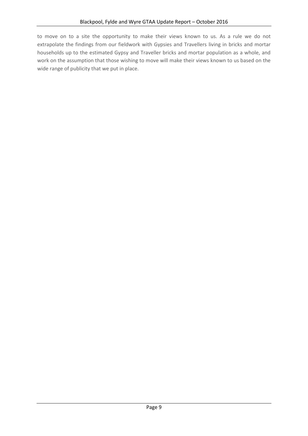to move on to a site the opportunity to make their views known to us. As a rule we do not extrapolate the findings from our fieldwork with Gypsies and Travellers living in bricks and mortar households up to the estimated Gypsy and Traveller bricks and mortar population as a whole, and work on the assumption that those wishing to move will make their views known to us based on the wide range of publicity that we put in place.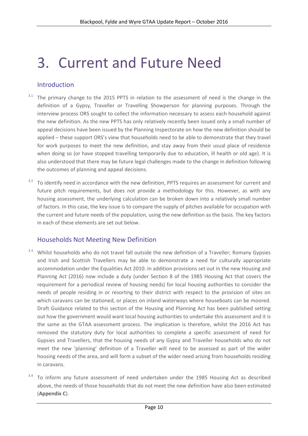## <span id="page-9-0"></span>3. Current and Future Need

#### <span id="page-9-1"></span>Introduction

- The primary change to the 2015 PPTS in relation to the assessment of need is the change in the definition of a Gypsy, Traveller or Travelling Showperson for planning purposes. Through the interview process ORS sought to collect the information necessary to assess each household against the new definition. As the new PPTS has only relatively recently been issued only a small number of appeal decisions have been issued by the Planning Inspectorate on how the new definition should be applied – these support ORS's view that households need to be able to demonstrate that they travel for work purposes to meet the new definition, and stay away from their usual place of residence when doing so (or have stopped travelling temporarily due to education, ill health or old age). It is also understood that there may be future legal challenges made to the change in definition following the outcomes of planning and appeal decisions.
- <sup>3.2</sup> To identify need in accordance with the new definition, PPTS requires an assessment for current and future pitch requirements, but does not provide a methodology for this. However, as with any housing assessment, the underlying calculation can be broken down into a relatively small number of factors. In this case, the key issue is to compare the supply of pitches available for occupation with the current and future needs of the population, using the new definition as the basis. The key factors in each of these elements are set out below.

#### <span id="page-9-2"></span>Households Not Meeting New Definition

- <sup>3.3</sup> Whilst households who do not travel fall outside the new definition of a Traveller; Romany Gypsies and Irish and Scottish Travellers may be able to demonstrate a need for culturally appropriate accommodation under the Equalities Act 2010. In addition provisions set out in the new Housing and Planning Act (2016) now include a duty (under Section 8 of the 1985 Housing Act that covers the requirement for a periodical review of housing needs) for local housing authorities to consider the needs of people residing in or resorting to their district with respect to the provision of sites on which caravans can be stationed, or places on inland waterways where houseboats can be moored. Draft Guidance related to this section of the Housing and Planning Act has been published setting out how the government would want local housing authorities to undertake this assessment and it is the same as the GTAA assessment process. The implication is therefore, whilst the 2016 Act has removed the statutory duty for local authorities to complete a specific assessment of need for Gypsies and Travellers, that the housing needs of any Gypsy and Traveller households who do not meet the new 'planning' definition of a Traveller will need to be assessed as part of the wider housing needs of the area, and will form a subset of the wider need arising from households residing in caravans.
- $3.4$  To inform any future assessment of need undertaken under the 1985 Housing Act as described above, the needs of those households that do not meet the new definition have also been estimated (**Appendix C**).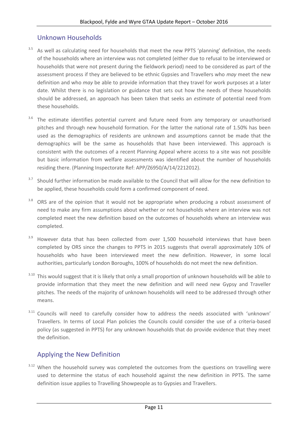#### <span id="page-10-0"></span>Unknown Households

- <sup>3.5</sup> As well as calculating need for households that meet the new PPTS 'planning' definition, the needs of the households where an interview was not completed (either due to refusal to be interviewed or households that were not present during the fieldwork period) need to be considered as part of the assessment process if they are believed to be ethnic Gypsies and Travellers who *may* meet the new definition and who *may* be able to provide information that they travel for work purposes at a later date. Whilst there is no legislation or guidance that sets out how the needs of these households should be addressed, an approach has been taken that seeks an *estimate* of potential need from these households.
- $3.6$  The estimate identifies potential current and future need from any temporary or unauthorised pitches and through new household formation. For the latter the national rate of 1.50% has been used as the demographics of residents are unknown and assumptions cannot be made that the demographics will be the same as households that have been interviewed. This approach is consistent with the outcomes of a recent Planning Appeal where access to a site was not possible but basic information from welfare assessments was identified about the number of households residing there. (Planning Inspectorate Ref: APP/Z6950/A/14/2212012).
- <sup>3.7</sup> Should further information be made available to the Council that will allow for the new definition to be applied, these households could form a confirmed component of need.
- <sup>3.8</sup> ORS are of the opinion that it would not be appropriate when producing a robust assessment of need to make any firm assumptions about whether or not households where an interview was not completed meet the new definition based on the outcomes of households where an interview was completed.
- <sup>3.9</sup> However data that has been collected from over 1,500 household interviews that have been completed by ORS since the changes to PPTS in 2015 suggests that overall approximately 10% of households who have been interviewed meet the new definition. However, in some local authorities, particularly London Boroughs, 100% of households do not meet the new definition.
- <sup>3.10</sup> This would suggest that it is likely that only a small proportion of unknown households will be able to provide information that they meet the new definition and will need new Gypsy and Traveller pitches. The needs of the majority of unknown households will need to be addressed through other means.
- <sup>3.11</sup> Councils will need to carefully consider how to address the needs associated with 'unknown' Travellers. In terms of Local Plan policies the Councils could consider the use of a criteria-based policy (as suggested in PPTS) for any unknown households that do provide evidence that they meet the definition.

## <span id="page-10-1"></span>Applying the New Definition

<sup>3.12</sup> When the household survey was completed the outcomes from the questions on travelling were used to determine the status of each household against the new definition in PPTS. The same definition issue applies to Travelling Showpeople as to Gypsies and Travellers.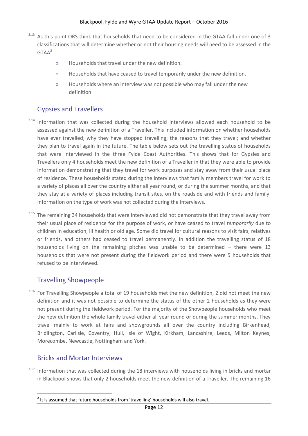- As this point ORS think that households that need to be considered in the GTAA fall under one of 3 classifications that will determine whether or not their housing needs will need to be assessed in the  $GTAA<sup>2</sup>$ .
	- » Households that travel under the new definition.
	- » Households that have ceased to travel temporarily under the new definition.
	- » Households where an interview was not possible who may fall under the new definition.

## <span id="page-11-0"></span>Gypsies and Travellers

- <sup>3.14</sup> Information that was collected during the household interviews allowed each household to be assessed against the new definition of a Traveller. This included information on whether households have ever travelled; why they have stopped travelling; the reasons that they travel; and whether they plan to travel again in the future. The table below sets out the travelling status of households that were interviewed in the three Fylde Coast Authorities. This shows that for Gypsies and Travellers only 4 households meet the new definition of a Traveller in that they were able to provide information demonstrating that they travel for work purposes and stay away from their usual place of residence. These households stated during the interviews that family members travel for work to a variety of places all over the country either all year round, or during the summer months, and that they stay at a variety of places including transit sites, on the roadside and with friends and family. Information on the type of work was not collected during the interviews.
- <sup>3.15</sup> The remaining 34 households that were interviewed did not demonstrate that they travel away from their usual place of residence for the purpose of work, or have ceased to travel *temporarily* due to children in education, ill health or old age. Some did travel for cultural reasons to visit fairs, relatives or friends, and others had ceased to travel permanently. In addition the travelling status of 18 households living on the remaining pitches was unable to be determined – there were 13 households that were not present during the fieldwork period and there were 5 households that refused to be interviewed.

## <span id="page-11-1"></span>Travelling Showpeople

<sup>3.16</sup> For Travelling Showpeople a total of 19 households met the new definition, 2 did not meet the new definition and it was not possible to determine the status of the other 2 households as they were not present during the fieldwork period. For the majority of the Showpeople households who meet the new definition the whole family travel either all year round or during the summer months. They travel mainly to work at fairs and showgrounds all over the country including Birkenhead, Bridlington, Carlisle, Coventry, Hull, Isle of Wight, Kirkham, Lancashire, Leeds, Milton Keynes, Morecombe, Newcastle, Nottingham and York.

## <span id="page-11-2"></span>Bricks and Mortar Interviews

<sup>3.17</sup> Information that was collected during the 18 interviews with households living in bricks and mortar in Blackpool shows that only 2 households meet the new definition of a Traveller. The remaining 16

**<sup>.</sup>**  $2$  It is assumed that future households from 'travelling' households will also travel.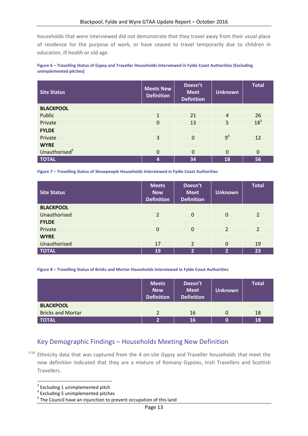households that were interviewed did not demonstrate that they travel away from their usual place of residence for the purpose of work, or have ceased to travel temporarily due to children in education, ill health or old age.

#### **Figure 6 – Travelling Status of Gypsy and Traveller Households Interviewed in Fylde Coast Authorities (Excluding unimplemented pitches)**

| <b>Site Status</b>        | <b>Meets New</b><br><b>Definition</b> | Doesn't<br><b>Meet</b><br><b>Definition</b> | <b>Unknown</b> | <b>Total</b>    |
|---------------------------|---------------------------------------|---------------------------------------------|----------------|-----------------|
| <b>BLACKPOOL</b>          |                                       |                                             |                |                 |
| Public                    | $\mathbf{1}$                          | 21                                          | $\overline{4}$ | 26              |
| Private                   | $\mathbf 0$                           | 13                                          | 5              | 18 <sup>3</sup> |
| <b>FYLDE</b>              |                                       |                                             |                |                 |
| Private                   | 3                                     | $\Omega$                                    | 9 <sup>4</sup> | 12              |
| <b>WYRE</b>               |                                       |                                             |                |                 |
| Unauthorised <sup>5</sup> | $\mathbf 0$                           | $\Omega$                                    | $\Omega$       | $\mathbf 0$     |
| <b>TOTAL</b>              | 4                                     | 34                                          | 18             | 56              |

**Figure 7 – Travelling Status of Showpeople Households Interviewed in Fylde Coast Authorities**

| <b>Site Status</b> | <b>Meets</b><br><b>New</b><br><b>Definition</b> | Doesn't<br><b>Meet</b><br><b>Definition</b> | <b>Unknown</b> | <b>Total</b>   |
|--------------------|-------------------------------------------------|---------------------------------------------|----------------|----------------|
| <b>BLACKPOOL</b>   |                                                 |                                             |                |                |
| Unauthorised       | 2                                               | $\Omega$                                    | $\Omega$       | $\overline{2}$ |
| <b>FYLDE</b>       |                                                 |                                             |                |                |
| Private            | $\mathbf 0$                                     | $\Omega$                                    | 2              | $\overline{2}$ |
| <b>WYRE</b>        |                                                 |                                             |                |                |
| Unauthorised       | 17                                              | $\overline{2}$                              | $\Omega$       | 19             |
| <b>TOTAL</b>       | 19                                              | 2                                           | $\overline{2}$ | 23             |

#### **Figure 8 – Travelling Status of Bricks and Mortar Households Interviewed in Fylde Coast Authorities**

|                          | <b>Meets</b><br><b>New</b><br><b>Definition</b> | Doesn't<br><b>Meet</b><br><b>Definition</b> | Unknown | <b>Total</b> |
|--------------------------|-------------------------------------------------|---------------------------------------------|---------|--------------|
| <b>BLACKPOOL</b>         |                                                 |                                             |         |              |
| <b>Bricks and Mortar</b> | າ                                               | 16                                          | O       | 18           |
| <b>TOTAL</b>             | <b>C</b>                                        | 16                                          |         | 18           |

#### <span id="page-12-0"></span>Key Demographic Findings – Households Meeting New Definition

<sup>3.18</sup> Ethnicity data that was captured from the 4 on-site Gypsy and Traveller households that meet the new definition indicated that they are a mixture of Romany Gypsies, Irish Travellers and Scottish Travellers.

 $\overline{\phantom{a}}$ 

<sup>&</sup>lt;sup>3</sup> Excluding 1 unimplemented pitch

<sup>4</sup> Excluding 5 unimplemented pitches

<sup>&</sup>lt;sup>5</sup> The Council have an injunction to prevent occupation of this land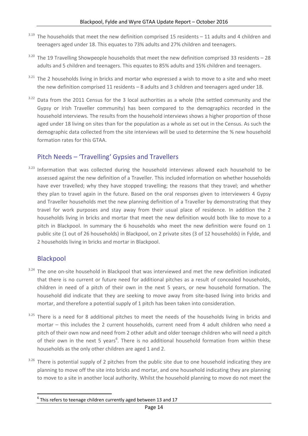- $3.19$  The households that meet the new definition comprised 15 residents 11 adults and 4 children and teenagers aged under 18. This equates to 73% adults and 27% children and teenagers.
- $3.20$  The 19 Travelling Showpeople households that meet the new definition comprised 33 residents 28 adults and 5 children and teenagers. This equates to 85% adults and 15% children and teenagers.
- <sup>3.21</sup> The 2 households living in bricks and mortar who expressed a wish to move to a site and who meet the new definition comprised 11 residents – 8 adults and 3 children and teenagers aged under 18.
- <sup>3.22</sup> Data from the 2011 Census for the 3 local authorities as a whole (the settled community and the Gypsy or Irish Traveller community) has been compared to the demographics recorded in the household interviews. The results from the household interviews shows a higher proportion of those aged under 18 living on sites than for the population as a whole as set out in the Census. As such the demographic data collected from the site interviews will be used to determine the % new household formation rates for this GTAA.

## <span id="page-13-0"></span>Pitch Needs – 'Travelling' Gypsies and Travellers

 $3.23$  Information that was collected during the household interviews allowed each household to be assessed against the new definition of a Traveller. This included information on whether households have ever travelled; why they have stopped travelling; the reasons that they travel; and whether they plan to travel again in the future. Based on the oral responses given to interviewers 4 Gypsy and Traveller households met the new planning definition of a Traveller by demonstrating that they travel for work purposes and stay away from their usual place of residence. In addition the 2 households living in bricks and mortar that meet the new definition would both like to move to a pitch in Blackpool. In summary the 6 households who meet the new definition were found on 1 public site (1 out of 26 households) in Blackpool, on 2 private sites (3 of 12 households) in Fylde, and 2 households living in bricks and mortar in Blackpool.

## Blackpool

- <sup>3.24</sup> The one on-site household in Blackpool that was interviewed and met the new definition indicated that there is no current or future need for additional pitches as a result of concealed households, children in need of a pitch of their own in the next 5 years, or new household formation. The household did indicate that they are seeking to move away from site-based living into bricks and mortar, and therefore a potential supply of 1 pitch has been taken into consideration.
- <sup>3.25</sup> There is a need for 8 additional pitches to meet the needs of the households living in bricks and mortar – this includes the 2 current households, current need from 4 adult children who need a pitch of their own now and need from 2 other adult and older teenage children who will need a pitch of their own in the next 5 years<sup>6</sup>. There is no additional household formation from within these households as the only other children are aged 1 and 2.
- There is potential supply of 2 pitches from the public site due to one household indicating they are planning to move off the site into bricks and mortar, and one household indicating they are planning to move to a site in another local authority. Whilst the household planning to move do not meet the

**<sup>.</sup>**  $^6$  This refers to teenage children currently aged between 13 and 17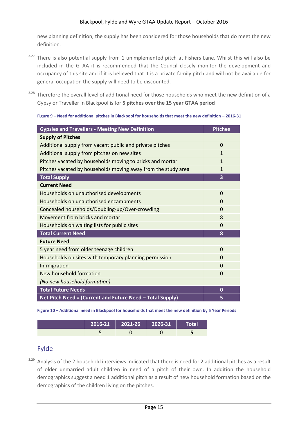new planning definition, the supply has been considered for those households that do meet the new definition.

- <sup>3.27</sup> There is also potential supply from 1 unimplemented pitch at Fishers Lane. Whilst this will also be included in the GTAA it is recommended that the Council closely monitor the development and occupancy of this site and if it is believed that it is a private family pitch and will not be available for general occupation the supply will need to be discounted.
- <sup>3.28</sup> Therefore the overall level of additional need for those households who meet the new definition of a Gypsy or Traveller in Blackpool is for **5 pitches over the 15 year GTAA period**

| <b>Gypsies and Travellers - Meeting New Definition</b>        | <b>Pitches</b> |
|---------------------------------------------------------------|----------------|
| <b>Supply of Pitches</b>                                      |                |
| Additional supply from vacant public and private pitches      | $\Omega$       |
| Additional supply from pitches on new sites                   | 1              |
| Pitches vacated by households moving to bricks and mortar     | 1              |
| Pitches vacated by households moving away from the study area | 1              |
| <b>Total Supply</b>                                           | 3              |
| <b>Current Need</b>                                           |                |
| Households on unauthorised developments                       | $\Omega$       |
| Households on unauthorised encampments                        | $\Omega$       |
| Concealed households/Doubling-up/Over-crowding                | $\Omega$       |
| Movement from bricks and mortar                               | 8              |
| Households on waiting lists for public sites                  | $\Omega$       |
| <b>Total Current Need</b>                                     | 8              |
| <b>Future Need</b>                                            |                |
| 5 year need from older teenage children                       | $\Omega$       |
| Households on sites with temporary planning permission        | $\Omega$       |
| In-migration                                                  | 0              |
| New household formation                                       | $\Omega$       |
| (No new household formation)                                  |                |
| <b>Total Future Needs</b>                                     | $\bf{0}$       |
| Net Pitch Need = (Current and Future Need - Total Supply)     | 5              |

**Figure 10 – Additional need in Blackpool for households that meet the new definition by 5 Year Periods**

|  |  | Total |
|--|--|-------|
|  |  |       |

#### Fylde

3.29 Analysis of the 2 household interviews indicated that there is need for 2 additional pitches as a result of older unmarried adult children in need of a pitch of their own. In addition the household demographics suggest a need 1 additional pitch as a result of new household formation based on the demographics of the children living on the pitches.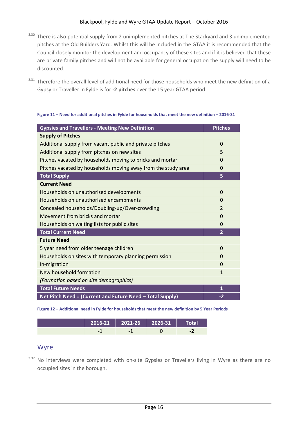- <sup>3.30</sup> There is also potential supply from 2 unimplemented pitches at The Stackyard and 3 unimplemented pitches at the Old Builders Yard. Whilst this will be included in the GTAA it is recommended that the Council closely monitor the development and occupancy of these sites and if it is believed that these are private family pitches and will not be available for general occupation the supply will need to be discounted.
- <sup>3.31</sup> Therefore the overall level of additional need for those households who meet the new definition of a Gypsy or Traveller in Fylde is for **-2 pitches** over the 15 year GTAA period.

| <b>Gypsies and Travellers - Meeting New Definition</b>        | <b>Pitches</b> |
|---------------------------------------------------------------|----------------|
| <b>Supply of Pitches</b>                                      |                |
| Additional supply from vacant public and private pitches      | $\Omega$       |
| Additional supply from pitches on new sites                   | 5              |
| Pitches vacated by households moving to bricks and mortar     | $\Omega$       |
| Pitches vacated by households moving away from the study area | $\Omega$       |
| <b>Total Supply</b>                                           | 5              |
| <b>Current Need</b>                                           |                |
| Households on unauthorised developments                       | $\Omega$       |
| Households on unauthorised encampments                        | $\Omega$       |
| Concealed households/Doubling-up/Over-crowding                | $\overline{2}$ |
| Movement from bricks and mortar                               | $\Omega$       |
| Households on waiting lists for public sites                  | $\Omega$       |
| <b>Total Current Need</b>                                     | $\overline{2}$ |
| <b>Future Need</b>                                            |                |
| 5 year need from older teenage children                       | $\Omega$       |
| Households on sites with temporary planning permission        | $\overline{0}$ |
| In-migration                                                  | $\Omega$       |
| New household formation                                       | $\mathbf{1}$   |
| (Formation based on site demographics)                        |                |
| <b>Total Future Needs</b>                                     | 1              |
| Net Pitch Need = (Current and Future Need - Total Supply)     | $-2$           |

#### **Figure 11 – Need for additional pitches in Fylde for households that meet the new definition – 2016-31**

**Figure 12 – Additional need in Fylde for households that meet the new definition by 5 Year Periods**

|                          | $2016-21$   2021-26   2026-31 | Total |
|--------------------------|-------------------------------|-------|
| $\overline{\phantom{0}}$ | -                             |       |

#### Wyre

<sup>3.32</sup> No interviews were completed with on-site Gypsies or Travellers living in Wyre as there are no occupied sites in the borough.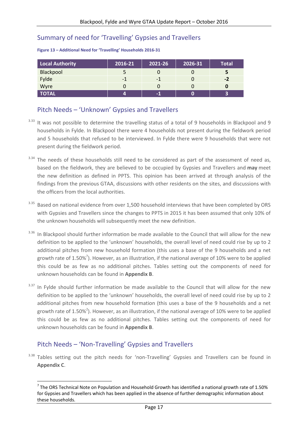#### <span id="page-16-0"></span>Summary of need for 'Travelling' Gypsies and Travellers

| <b>Local Authority</b> | 2016-21 | 2021-26 | 2026-31 | <b>Total</b> |
|------------------------|---------|---------|---------|--------------|
| Blackpool              |         |         |         |              |
| Fylde                  | -1      | -1      |         | $-2$         |
| Wyre                   |         |         |         |              |
| <b>TOTAL</b>           | 4       | $-1$    |         |              |

#### **Figure 13 – Additional Need for 'Travelling' Households 2016-31**

#### <span id="page-16-1"></span>Pitch Needs – 'Unknown' Gypsies and Travellers

- <sup>3.33</sup> It was not possible to determine the travelling status of a total of 9 households in Blackpool and 9 households in Fylde. In Blackpool there were 4 households not present during the fieldwork period and 5 households that refused to be interviewed. In Fylde there were 9 households that were not present during the fieldwork period.
- 3.34 The needs of these households still need to be considered as part of the assessment of need as, based on the fieldwork, they are believed to be occupied by Gypsies and Travellers and **may** meet the new definition as defined in PPTS. This opinion has been arrived at through analysis of the findings from the previous GTAA, discussions with other residents on the sites, and discussions with the officers from the local authorities.
- <sup>3.35</sup> Based on national evidence from over 1,500 household interviews that have been completed by ORS with Gypsies and Travellers since the changes to PPTS in 2015 it has been assumed that only 10% of the unknown households will subsequently meet the new definition.
- <sup>3.36</sup> In Blackpool should further information be made available to the Council that will allow for the new definition to be applied to the 'unknown' households, the overall level of need could rise by up to 2 additional pitches from new household formation (this uses a base of the 9 households and a net growth rate of 1.50%<sup>7</sup>). However, as an illustration, if the national average of 10% were to be applied this could be as few as no additional pitches. Tables setting out the components of need for unknown households can be found in **Appendix B**.
- <sup>3.37</sup> In Fylde should further information be made available to the Council that will allow for the new definition to be applied to the 'unknown' households, the overall level of need could rise by up to 2 additional pitches from new household formation (this uses a base of the 9 households and a net growth rate of 1.50%<sup>2</sup>). However, as an illustration, if the national average of 10% were to be applied this could be as few as no additional pitches. Tables setting out the components of need for unknown households can be found in **Appendix B**.

## <span id="page-16-2"></span>Pitch Needs – 'Non-Travelling' Gypsies and Travellers

 $\overline{\phantom{a}}$ 

<sup>3.38</sup> Tables setting out the pitch needs for 'non-Travelling' Gypsies and Travellers can be found in **Appendix C**.

 $^7$  The ORS Technical Note on Population and Household Growth has identified a national growth rate of 1.50% for Gypsies and Travellers which has been applied in the absence of further demographic information about these households.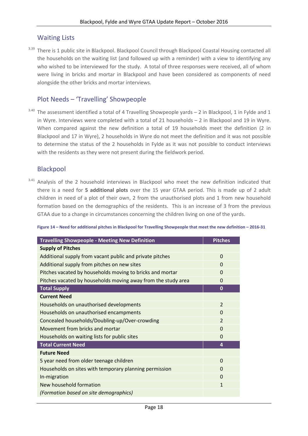#### <span id="page-17-0"></span>Waiting Lists

3.39 There is 1 public site in Blackpool. Blackpool Council through Blackpool Coastal Housing contacted all the households on the waiting list (and followed up with a reminder) with a view to identifying any who wished to be interviewed for the study. A total of three responses were received, all of whom were living in bricks and mortar in Blackpool and have been considered as components of need alongside the other bricks and mortar interviews.

#### <span id="page-17-1"></span>Plot Needs – 'Travelling' Showpeople

 $3.40$  The assessment identified a total of 4 Travelling Showpeople yards  $-$  2 in Blackpool, 1 in Fylde and 1 in Wyre. Interviews were completed with a total of 21 households – 2 in Blackpool and 19 in Wyre. When compared against the new definition a total of 19 households meet the definition (2 in Blackpool and 17 in Wyre), 2 households in Wyre do not meet the definition and it was not possible to determine the status of the 2 households in Fylde as it was not possible to conduct interviews with the residents as they were not present during the fieldwork period.

#### Blackpool

3.41 Analysis of the 2 household interviews in Blackpool who meet the new definition indicated that there is a need for **5 additional plots** over the 15 year GTAA period. This is made up of 2 adult children in need of a plot of their own, 2 from the unauthorised plots and 1 from new household formation based on the demographics of the residents. This is an increase of 3 from the previous GTAA due to a change in circumstances concerning the children living on one of the yards.

#### **Figure 14 – Need for additional pitches in Blackpool for Travelling Showpeople that meet the new definition – 2016-31**

| <b>Travelling Showpeople - Meeting New Definition</b>         | <b>Pitches</b> |
|---------------------------------------------------------------|----------------|
| <b>Supply of Pitches</b>                                      |                |
| Additional supply from vacant public and private pitches      | $\Omega$       |
| Additional supply from pitches on new sites                   | $\Omega$       |
| Pitches vacated by households moving to bricks and mortar     | 0              |
| Pitches vacated by households moving away from the study area | 0              |
| <b>Total Supply</b>                                           | $\mathbf 0$    |
| <b>Current Need</b>                                           |                |
| Households on unauthorised developments                       | $\overline{2}$ |
| Households on unauthorised encampments                        | $\Omega$       |
| Concealed households/Doubling-up/Over-crowding                | $\overline{2}$ |
| Movement from bricks and mortar                               | $\Omega$       |
| Households on waiting lists for public sites                  | $\Omega$       |
| <b>Total Current Need</b>                                     | 4              |
| <b>Future Need</b>                                            |                |
| 5 year need from older teenage children                       | $\Omega$       |
| Households on sites with temporary planning permission        | 0              |
| In-migration                                                  | $\Omega$       |
| New household formation                                       | 1              |
| (Formation based on site demographics)                        |                |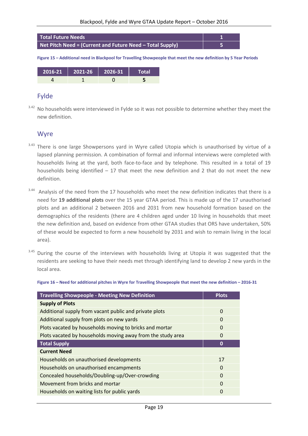

**Figure 15 – Additional need in Blackpool for Travelling Showpeople that meet the new definition by 5 Year Periods**

| $2016-21$   2021-26   2026-31 | Total |
|-------------------------------|-------|
|                               |       |

#### Fylde

<sup>3.42</sup> No households were interviewed in Fylde so it was not possible to determine whether they meet the new definition.

#### Wyre

- <sup>3.43</sup> There is one large Showpersons yard in Wyre called Utopia which is unauthorised by virtue of a lapsed planning permission. A combination of formal and informal interviews were completed with households living at the yard, both face-to-face and by telephone. This resulted in a total of 19 households being identified – 17 that meet the new definition and 2 that do not meet the new definition.
- <sup>3.44</sup> Analysis of the need from the 17 households who meet the new definition indicates that there is a need for **19 additional plots** over the 15 year GTAA period. This is made up of the 17 unauthorised plots and an additional 2 between 2016 and 2031 from new household formation based on the demographics of the residents (there are 4 children aged under 10 living in households that meet the new definition and, based on evidence from other GTAA studies that ORS have undertaken, 50% of these would be expected to form a new household by 2031 and wish to remain living in the local area).
- $3.45$  During the course of the interviews with households living at Utopia it was suggested that the residents are seeking to have their needs met through identifying land to develop 2 new yards in the local area.

**Figure 16 – Need for additional pitches in Wyre for Travelling Showpeople that meet the new definition – 2016-31**

| <b>Travelling Showpeople - Meeting New Definition</b>       | <b>Plots</b> |
|-------------------------------------------------------------|--------------|
| <b>Supply of Plots</b>                                      |              |
| Additional supply from vacant public and private plots      | $\Omega$     |
| Additional supply from plots on new yards                   | $\Omega$     |
| Plots vacated by households moving to bricks and mortar     | $\Omega$     |
| Plots vacated by households moving away from the study area | 0            |
| <b>Total Supply</b>                                         | 0            |
| <b>Current Need</b>                                         |              |
| Households on unauthorised developments                     | 17           |
| Households on unauthorised encampments                      | $\Omega$     |
| Concealed households/Doubling-up/Over-crowding              | $\Omega$     |
| Movement from bricks and mortar                             | $\Omega$     |
| Households on waiting lists for public yards                | 0            |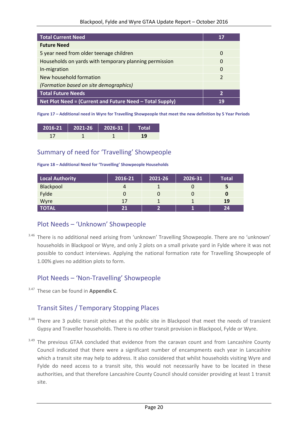| <b>Total Current Need</b>                                | 17            |
|----------------------------------------------------------|---------------|
| <b>Future Need</b>                                       |               |
| 5 year need from older teenage children                  | 0             |
| Households on yards with temporary planning permission   | 0             |
| In-migration                                             | $\Omega$      |
| New household formation                                  | $\mathcal{P}$ |
| (Formation based on site demographics)                   |               |
| <b>Total Future Needs</b>                                | $\mathbf{2}$  |
| Net Plot Need = (Current and Future Need – Total Supply) | 19            |

**Figure 17 – Additional need in Wyre for Travelling Showpeople that meet the new definition by 5 Year Periods**

| $2016-21$ 2021-26 2026-31 | Total |
|---------------------------|-------|
|                           | 19    |

#### <span id="page-19-0"></span>Summary of need for 'Travelling' Showpeople

| Figure 18 - Additional Need for 'Travelling' Showpeople Households |  |
|--------------------------------------------------------------------|--|
|--------------------------------------------------------------------|--|

| Local Authority | 2016-21 | 2021-26 | 2026-31 | <b>Total</b> |
|-----------------|---------|---------|---------|--------------|
| Blackpool       |         |         |         |              |
| Fylde           |         |         |         |              |
| Wyre            | 17      |         |         | <b>19</b>    |
| <b>TOTAL</b>    | 21      |         |         | 24           |

#### <span id="page-19-1"></span>Plot Needs – 'Unknown' Showpeople

<sup>3.46</sup> There is no additional need arising from 'unknown' Travelling Showpeople. There are no 'unknown' households in Blackpool or Wyre, and only 2 plots on a small private yard in Fylde where it was not possible to conduct interviews. Applying the national formation rate for Travelling Showpeople of 1.00% gives no addition plots to form.

## <span id="page-19-2"></span>Plot Needs – 'Non-Travelling' Showpeople

3.47 These can be found in **Appendix C**.

## <span id="page-19-3"></span>Transit Sites / Temporary Stopping Places

- <sup>3.48</sup> There are 3 public transit pitches at the public site in Blackpool that meet the needs of transient Gypsy and Traveller households. There is no other transit provision in Blackpool, Fylde or Wyre.
- <sup>3.49</sup> The previous GTAA concluded that evidence from the caravan count and from Lancashire County Council indicated that there were a significant number of encampments each year in Lancashire which a transit site may help to address. It also considered that whilst households visiting Wyre and Fylde do need access to a transit site, this would not necessarily have to be located in these authorities, and that therefore Lancashire County Council should consider providing at least 1 transit site.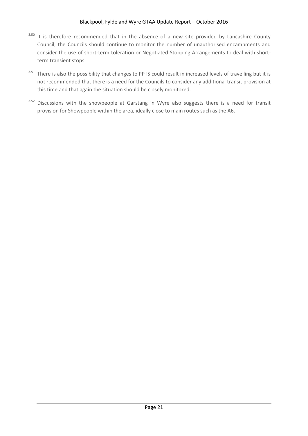- $3.50$  It is therefore recommended that in the absence of a new site provided by Lancashire County Council, the Councils should continue to monitor the number of unauthorised encampments and consider the use of short-term toleration or Negotiated Stopping Arrangements to deal with shortterm transient stops.
- <sup>3.51</sup> There is also the possibility that changes to PPTS could result in increased levels of travelling but it is not recommended that there is a need for the Councils to consider any additional transit provision at this time and that again the situation should be closely monitored.
- <sup>3.52</sup> Discussions with the showpeople at Garstang in Wyre also suggests there is a need for transit provision for Showpeople within the area, ideally close to main routes such as the A6.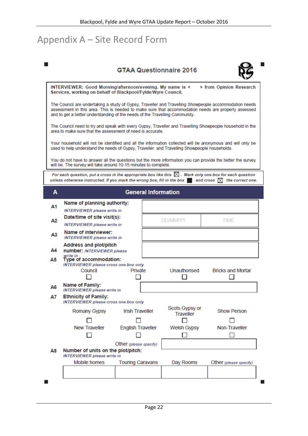## <span id="page-21-0"></span>Appendix A – Site Record Form

|           |                                                                                                                                                                                                                                                                                             |                            | <b>GTAA Questionnaire 2016</b>     |                          |  |  |
|-----------|---------------------------------------------------------------------------------------------------------------------------------------------------------------------------------------------------------------------------------------------------------------------------------------------|----------------------------|------------------------------------|--------------------------|--|--|
|           | INTERVIEWER: Good Morning/afternoon/evening. My name is <<br>Services, working on behalf of Blackpool/Fylde/Wyre Council.                                                                                                                                                                   |                            |                                    | > from Opinion Research  |  |  |
|           | The Council are undertaking a study of Gypsy, Traveller and Travelling Showpeople accommodation needs<br>assessment in this area. This is needed to make sure that accommodation needs are properly assessed<br>and to get a better understanding of the needs of the Travelling Community. |                            |                                    |                          |  |  |
|           | The Council need to try and speak with every Gypsy, Traveller and Travelling Showpeople household in the<br>area to make sure that the assessment of need is accurate.                                                                                                                      |                            |                                    |                          |  |  |
|           | Your household will not be identified and all the information collected will be anonymous and will only be<br>used to help understand the needs of Gypsy, Traveller and Travelling Showpeople households.                                                                                   |                            |                                    |                          |  |  |
|           | You do not have to answer all the questions but the more information you can provide the better the survey<br>will be. The survey will take around 10-15 minutes to complete.                                                                                                               |                            |                                    |                          |  |  |
|           | For each question, put a cross in the appropriate box like this $\,\mathbb{X}\,$ . Mark only one box for each question<br>unless otherwise instructed. If you mark the wrong box, fill in the box $\blacksquare$ and cross $\boxtimes$ the correct one.                                     |                            |                                    |                          |  |  |
| A         |                                                                                                                                                                                                                                                                                             | <b>General Information</b> |                                    |                          |  |  |
| А1        | Name of planning authority:<br>INTERVIEWER please write in                                                                                                                                                                                                                                  |                            |                                    |                          |  |  |
| А2        | Date/time of site visit(s):<br><b>INTERVIEWER</b> please write in                                                                                                                                                                                                                           |                            | <b>DD/MM/YY</b><br>TIME            |                          |  |  |
| Α3        | Name of interviewer:<br><b>INTERVIEWER</b> please write in                                                                                                                                                                                                                                  |                            |                                    |                          |  |  |
| А4        | Address and plot/pitch<br>number: INTERVIEWER please<br>write in                                                                                                                                                                                                                            |                            |                                    |                          |  |  |
| A5.       | Type of accommodation:<br><b>INTERVIEWER please cross one box only</b><br>Council                                                                                                                                                                                                           | Private                    | Unauthorised                       | <b>Bricks and Mortar</b> |  |  |
|           | Name of Family:                                                                                                                                                                                                                                                                             |                            |                                    |                          |  |  |
| A6<br>A7. | <b>INTERVIEWER</b> please write in<br><b>Ethnicity of Family:</b><br><b>INTERVIEWER</b> please cross one box only                                                                                                                                                                           |                            |                                    |                          |  |  |
|           | Romany Gypsy                                                                                                                                                                                                                                                                                | <b>Irish Traveller</b>     | Scots Gypsy or<br><b>Traveller</b> | <b>Show Person</b>       |  |  |
|           |                                                                                                                                                                                                                                                                                             |                            |                                    |                          |  |  |
|           | <b>New Traveller</b>                                                                                                                                                                                                                                                                        | <b>English Traveller</b>   | <b>Welsh Gypsy</b>                 | Non-Traveller            |  |  |
|           |                                                                                                                                                                                                                                                                                             |                            |                                    |                          |  |  |
| Α8        | Number of units on the plot/pitch:<br><b>INTERVIEWER</b> please write in                                                                                                                                                                                                                    | Other (please specify)     |                                    |                          |  |  |
|           | Mobile homes                                                                                                                                                                                                                                                                                | <b>Touring Caravans</b>    | Day Rooms                          | Other (please specify)   |  |  |
|           |                                                                                                                                                                                                                                                                                             |                            |                                    |                          |  |  |
|           |                                                                                                                                                                                                                                                                                             |                            |                                    |                          |  |  |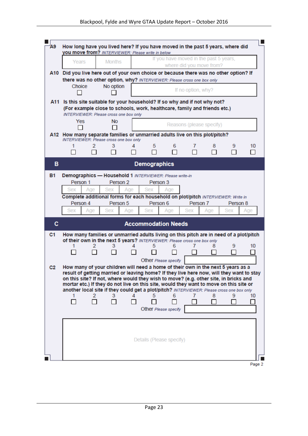|                | Years                                                                                                                                                                        |     | <b>Months</b>       |     |                            |                      |                    | If you have moved in the past 5 years,<br>where did you move from?               |          |     |  |  |  |  |  |  |
|----------------|------------------------------------------------------------------------------------------------------------------------------------------------------------------------------|-----|---------------------|-----|----------------------------|----------------------|--------------------|----------------------------------------------------------------------------------|----------|-----|--|--|--|--|--|--|
|                | A10 Did you live here out of your own choice or because there was no other option? If                                                                                        |     |                     |     |                            |                      |                    |                                                                                  |          |     |  |  |  |  |  |  |
|                | there was no other option, why? INTERVIEWER: Please cross one box only                                                                                                       |     |                     |     |                            |                      |                    |                                                                                  |          |     |  |  |  |  |  |  |
|                | Choice                                                                                                                                                                       |     | No option           |     |                            |                      | If no option, why? |                                                                                  |          |     |  |  |  |  |  |  |
|                |                                                                                                                                                                              |     |                     |     |                            |                      |                    |                                                                                  |          |     |  |  |  |  |  |  |
|                | A11 Is this site suitable for your household? If so why and if not why not?                                                                                                  |     |                     |     |                            |                      |                    |                                                                                  |          |     |  |  |  |  |  |  |
|                | (For example close to schools, work, healthcare, family and friends etc.)                                                                                                    |     |                     |     |                            |                      |                    |                                                                                  |          |     |  |  |  |  |  |  |
|                | <b>INTERVIEWER: Please cross one box only</b><br>Yes                                                                                                                         |     | No                  |     |                            |                      |                    |                                                                                  |          |     |  |  |  |  |  |  |
|                |                                                                                                                                                                              |     | LΙ                  |     |                            |                      |                    | Reasons (please specify)                                                         |          |     |  |  |  |  |  |  |
|                | A12 How many separate families or unmarried adults live on this plot/pitch?                                                                                                  |     |                     |     |                            |                      |                    |                                                                                  |          |     |  |  |  |  |  |  |
|                | <b>INTERVIEWER: Please cross one box only</b>                                                                                                                                |     |                     |     |                            |                      |                    |                                                                                  |          |     |  |  |  |  |  |  |
|                |                                                                                                                                                                              | 2   | 3                   |     | 5                          | 6                    |                    | 8                                                                                | 9        | 10  |  |  |  |  |  |  |
|                |                                                                                                                                                                              | □   | $\Box$              |     | П                          | П                    |                    | - 1                                                                              | П        | П   |  |  |  |  |  |  |
| в              |                                                                                                                                                                              |     |                     |     | <b>Demographics</b>        |                      |                    |                                                                                  |          |     |  |  |  |  |  |  |
|                |                                                                                                                                                                              |     |                     |     |                            |                      |                    |                                                                                  |          |     |  |  |  |  |  |  |
| <b>B1</b>      | Demographics - Household 1 INTERVIEWER: Please write-in<br>Person 1                                                                                                          |     | Person <sub>2</sub> |     |                            |                      |                    |                                                                                  |          |     |  |  |  |  |  |  |
|                | <b>Sex</b>                                                                                                                                                                   |     | <b>Sex</b>          |     | <b>Sex</b>                 | Person 3             |                    |                                                                                  |          |     |  |  |  |  |  |  |
|                |                                                                                                                                                                              | Age |                     | Age |                            | Aae                  |                    |                                                                                  |          |     |  |  |  |  |  |  |
|                | Person 4                                                                                                                                                                     |     | Person 5            |     |                            |                      |                    | Complete additional forms for each household on plot/pitch INTERVIEWER: Write in |          |     |  |  |  |  |  |  |
|                |                                                                                                                                                                              |     |                     |     |                            |                      |                    |                                                                                  |          |     |  |  |  |  |  |  |
|                |                                                                                                                                                                              |     |                     |     |                            | Person 6             |                    | Person 7                                                                         | Person 8 |     |  |  |  |  |  |  |
|                | <b>Sex</b>                                                                                                                                                                   | Age | <b>Sex</b>          | Age | <b>Sex</b>                 | Age                  | Sex                | Age                                                                              | Sex      | Age |  |  |  |  |  |  |
| c              |                                                                                                                                                                              |     |                     |     | <b>Accommodation Needs</b> |                      |                    |                                                                                  |          |     |  |  |  |  |  |  |
| C <sub>1</sub> | How many families or unmarried adults living on this pitch are in need of a plot/pitch                                                                                       |     |                     |     |                            |                      |                    |                                                                                  |          |     |  |  |  |  |  |  |
|                | of their own in the next 5 years? INTERVIEWER: Please cross one box only                                                                                                     |     |                     |     |                            |                      |                    |                                                                                  |          |     |  |  |  |  |  |  |
|                | 1                                                                                                                                                                            | 2   | 3                   | 4   | 5.                         | 6                    | 7                  | 8                                                                                | 9        | 10  |  |  |  |  |  |  |
|                |                                                                                                                                                                              |     |                     |     |                            |                      |                    |                                                                                  |          |     |  |  |  |  |  |  |
|                |                                                                                                                                                                              |     |                     |     |                            | Other Please specify |                    |                                                                                  |          |     |  |  |  |  |  |  |
|                | How many of your children will need a home of their own in the next 5 years as a<br>result of getting married or leaving home? If they live here now, will they want to stay |     |                     |     |                            |                      |                    |                                                                                  |          |     |  |  |  |  |  |  |
|                | on this site? If not, where would they wish to move? (e.g. other site, in bricks and                                                                                         |     |                     |     |                            |                      |                    |                                                                                  |          |     |  |  |  |  |  |  |
| C <sub>2</sub> | mortar etc.) If they do not live on this site, would they want to move on this site or                                                                                       |     |                     |     |                            |                      |                    |                                                                                  |          |     |  |  |  |  |  |  |
|                | another local site if they could get a plot/pitch? INTERVIEWER: Please cross one box only                                                                                    |     |                     |     | 5                          |                      | 7                  |                                                                                  |          |     |  |  |  |  |  |  |
|                | 1                                                                                                                                                                            |     | з                   |     |                            |                      |                    | 8                                                                                | 9        | 10  |  |  |  |  |  |  |
|                |                                                                                                                                                                              |     |                     |     |                            |                      |                    |                                                                                  |          |     |  |  |  |  |  |  |
|                |                                                                                                                                                                              |     |                     |     |                            | Other Please specify |                    |                                                                                  |          |     |  |  |  |  |  |  |
|                |                                                                                                                                                                              |     |                     |     |                            |                      |                    |                                                                                  |          |     |  |  |  |  |  |  |
|                |                                                                                                                                                                              |     |                     |     |                            |                      |                    |                                                                                  |          |     |  |  |  |  |  |  |
|                |                                                                                                                                                                              |     |                     |     |                            |                      |                    |                                                                                  |          |     |  |  |  |  |  |  |
|                |                                                                                                                                                                              |     |                     |     | Details (Please specify)   |                      |                    |                                                                                  |          |     |  |  |  |  |  |  |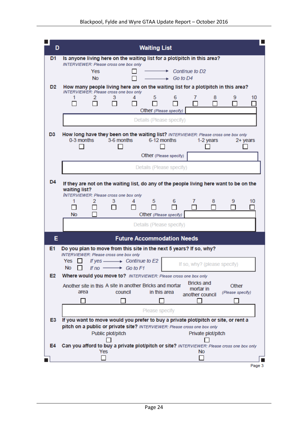| D              | <b>Waiting List</b>                                                                                                                                     |
|----------------|---------------------------------------------------------------------------------------------------------------------------------------------------------|
| D <sub>1</sub> | Is anyone living here on the waiting list for a plot/pitch in this area?                                                                                |
|                | <b>INTERVIEWER: Please cross one box only</b>                                                                                                           |
|                | Continue to D <sub>2</sub><br>Yes<br><b>No</b><br>$\bullet$ Go to D4                                                                                    |
| D <sub>2</sub> | How many people living here are on the waiting list for a plot/pitch in this area?                                                                      |
|                | <b>INTERVIEWER: Please cross one box only</b><br>3<br>5<br>6<br>9<br>2<br>7<br>8<br>10<br>4                                                             |
|                | Other (Please specify)                                                                                                                                  |
|                | Details (Please specify)                                                                                                                                |
|                |                                                                                                                                                         |
| D <sub>3</sub> | How long have they been on the waiting list? INTERVIEWER: Please cross one box only<br>0-3 months<br>3-6 months<br>6-12 months<br>1-2 years<br>2+ years |
|                |                                                                                                                                                         |
|                | Other (Please specify)                                                                                                                                  |
|                | Details (Please specify)                                                                                                                                |
| D <sub>4</sub> | If they are not on the waiting list, do any of the people living here want to be on the                                                                 |
|                | waiting list?                                                                                                                                           |
|                | <b>INTERVIEWER: Please cross one box only</b><br>2<br>3<br>5<br>6<br>10<br>4<br>7<br>8<br>9                                                             |
|                | п<br><b>No</b><br>Other (Please specify)                                                                                                                |
|                | Details (Please specify)                                                                                                                                |
|                |                                                                                                                                                         |
| E              | <b>Future Accommodation Needs</b>                                                                                                                       |
| E1             | Do you plan to move from this site in the next 5 years? If so, why?<br><b>INTERVIEWER: Please cross one box only</b>                                    |
|                | If yes $\longrightarrow$ Continue to E2<br>Yes II<br>If so, why? (please specify)<br>No.<br>If no $\longrightarrow$ Go to F1<br>$\perp$                 |
| E2             | Where would you move to? INTERVIEWER: Please cross one box only                                                                                         |
|                | <b>Bricks and</b><br>Another site in this A site in another Bricks and mortar<br>Other<br>mortar in                                                     |
|                | area<br>in this area<br>council<br>(Please specify)<br>another council                                                                                  |
|                |                                                                                                                                                         |
| E3             | Please specify<br>If you want to move would you prefer to buy a private plot/pitch or site, or rent a                                                   |
|                | pitch on a public or private site? INTERVIEWER: Please cross one box only                                                                               |
|                | Public plot/pitch<br>Private plot/pitch                                                                                                                 |
| E4             | Can you afford to buy a private plot/pitch or site? INTERVIEWER: Please cross one box only                                                              |
|                | <b>No</b><br>Yes                                                                                                                                        |
|                | Page 3                                                                                                                                                  |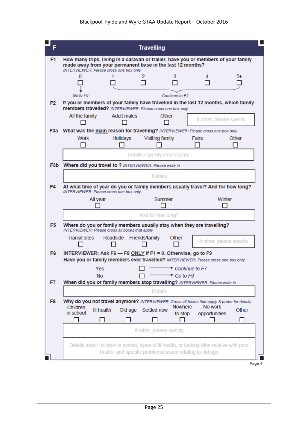| F              |                                                                                                                                                                                                                              | <b>Travelling</b>                                        |                                                                                            |  |  |  |  |
|----------------|------------------------------------------------------------------------------------------------------------------------------------------------------------------------------------------------------------------------------|----------------------------------------------------------|--------------------------------------------------------------------------------------------|--|--|--|--|
| F1.            | How many trips, living in a caravan or trailer, have you or members of your family<br>made away from your permanent base in the last 12 months?<br><b>INTERVIEWER: Please cross one box only</b>                             |                                                          |                                                                                            |  |  |  |  |
|                |                                                                                                                                                                                                                              | 3                                                        | 5+<br>4                                                                                    |  |  |  |  |
|                | Go to F6<br>Continue to F2                                                                                                                                                                                                   |                                                          |                                                                                            |  |  |  |  |
| F <sub>2</sub> | members travelled? INTERVIEWER: Please cross one box only                                                                                                                                                                    |                                                          | If you or members of your family have travelled in the last 12 months, which family        |  |  |  |  |
|                | All the family<br>Adult males                                                                                                                                                                                                | Other                                                    | If other, please specify                                                                   |  |  |  |  |
|                | F3a What was the main reason for travelling? INTERVIEWER: Please cross one box only                                                                                                                                          |                                                          |                                                                                            |  |  |  |  |
|                | <b>Work</b><br>Holidays                                                                                                                                                                                                      | <b>Visiting family</b>                                   | Other<br><b>Fairs</b>                                                                      |  |  |  |  |
|                |                                                                                                                                                                                                                              | Details / specify if necessary                           |                                                                                            |  |  |  |  |
|                | F3b Where did you travel to ? INTERVIEWER: Please write in                                                                                                                                                                   |                                                          |                                                                                            |  |  |  |  |
|                |                                                                                                                                                                                                                              | <b>Details</b>                                           |                                                                                            |  |  |  |  |
| F4             | At what time of year do you or family members usually travel? And for how long?<br><b>INTERVIEWER: Please cross one box only</b>                                                                                             |                                                          |                                                                                            |  |  |  |  |
|                | Winter<br>All year<br>Summer                                                                                                                                                                                                 |                                                          |                                                                                            |  |  |  |  |
|                | And for how long?                                                                                                                                                                                                            |                                                          |                                                                                            |  |  |  |  |
| F <sub>5</sub> | Where do you or family members usually stay when they are travelling?<br>INTERVIEWER: Please cross all boxes that apply                                                                                                      |                                                          |                                                                                            |  |  |  |  |
|                | <b>Transit sites</b><br>Roadside                                                                                                                                                                                             | Friends/family<br>Other                                  | If other, please specify                                                                   |  |  |  |  |
| F6             | INTERVIEWER: Ask F6 - F8 ONLY if F1 = 0. Otherwise, go to F9<br>Have you or family members ever travelled? INTERVIEWER: Please cross one box only                                                                            |                                                          |                                                                                            |  |  |  |  |
|                |                                                                                                                                                                                                                              | Yes $\Box \longrightarrow$ Continue to F7                |                                                                                            |  |  |  |  |
| F7             | <b>No</b>                                                                                                                                                                                                                    | $\div$ Go to F9                                          |                                                                                            |  |  |  |  |
|                | When did you or family members stop travelling? INTERVIEWER: Please write in<br><b>Details</b>                                                                                                                               |                                                          |                                                                                            |  |  |  |  |
| F8             | Why do you not travel anymore? INTERVIEWER: Cross all boxes that apply & probe for details<br>Nowhere<br>No work<br>Children<br>III health<br>Old age<br>Settled now<br>Other<br>in school<br>to stop<br>opportunities<br>-1 |                                                          |                                                                                            |  |  |  |  |
|                |                                                                                                                                                                                                                              | If other, please specify                                 |                                                                                            |  |  |  |  |
|                |                                                                                                                                                                                                                              | health, and specific problems/issues relating to old age | Details about children in school, types of ill health, or looking after relative with poor |  |  |  |  |
|                |                                                                                                                                                                                                                              |                                                          | Page 4                                                                                     |  |  |  |  |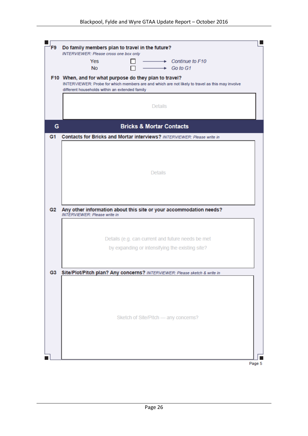| Do family members plan to travel in the future?<br>F9 |                                                                                                                                                           |  |  |  |  |
|-------------------------------------------------------|-----------------------------------------------------------------------------------------------------------------------------------------------------------|--|--|--|--|
|                                                       | <b>INTERVIEWER: Please cross one box only</b>                                                                                                             |  |  |  |  |
|                                                       | Yes<br>$\rightarrow$ Continue to F10                                                                                                                      |  |  |  |  |
|                                                       | <b>No</b><br>$\rightarrow$ Go to G1                                                                                                                       |  |  |  |  |
|                                                       |                                                                                                                                                           |  |  |  |  |
|                                                       | F10 When, and for what purpose do they plan to travel?<br>INTERVIEWER: Probe for which members are and which are not likely to travel as this may involve |  |  |  |  |
|                                                       | different households within an extended family                                                                                                            |  |  |  |  |
|                                                       |                                                                                                                                                           |  |  |  |  |
|                                                       |                                                                                                                                                           |  |  |  |  |
|                                                       | <b>Details</b>                                                                                                                                            |  |  |  |  |
|                                                       |                                                                                                                                                           |  |  |  |  |
|                                                       |                                                                                                                                                           |  |  |  |  |
| G                                                     | <b>Bricks &amp; Mortar Contacts</b>                                                                                                                       |  |  |  |  |
| G <sub>1</sub>                                        | <b>Contacts for Bricks and Mortar interviews?</b> INTERVIEWER: Please write in                                                                            |  |  |  |  |
|                                                       |                                                                                                                                                           |  |  |  |  |
|                                                       |                                                                                                                                                           |  |  |  |  |
|                                                       |                                                                                                                                                           |  |  |  |  |
|                                                       |                                                                                                                                                           |  |  |  |  |
|                                                       | <b>Details</b>                                                                                                                                            |  |  |  |  |
|                                                       |                                                                                                                                                           |  |  |  |  |
|                                                       |                                                                                                                                                           |  |  |  |  |
|                                                       |                                                                                                                                                           |  |  |  |  |
|                                                       |                                                                                                                                                           |  |  |  |  |
|                                                       |                                                                                                                                                           |  |  |  |  |
| G2                                                    | Any other information about this site or your accommodation needs?                                                                                        |  |  |  |  |
|                                                       | <b>INTERVIEWER: Please write in</b>                                                                                                                       |  |  |  |  |
|                                                       |                                                                                                                                                           |  |  |  |  |
|                                                       |                                                                                                                                                           |  |  |  |  |
|                                                       | Details (e.g. can current and future needs be met                                                                                                         |  |  |  |  |
|                                                       |                                                                                                                                                           |  |  |  |  |
|                                                       | by expanding or intensifying the existing site?                                                                                                           |  |  |  |  |
|                                                       |                                                                                                                                                           |  |  |  |  |
|                                                       |                                                                                                                                                           |  |  |  |  |
|                                                       | G3 Site/Plot/Pitch plan? Any concerns? INTERVIEWER: Please sketch & write in                                                                              |  |  |  |  |
|                                                       |                                                                                                                                                           |  |  |  |  |
|                                                       |                                                                                                                                                           |  |  |  |  |
|                                                       |                                                                                                                                                           |  |  |  |  |
|                                                       |                                                                                                                                                           |  |  |  |  |
|                                                       |                                                                                                                                                           |  |  |  |  |
|                                                       |                                                                                                                                                           |  |  |  |  |
|                                                       | Sketch of Site/Pitch - any concerns?                                                                                                                      |  |  |  |  |
|                                                       |                                                                                                                                                           |  |  |  |  |
|                                                       |                                                                                                                                                           |  |  |  |  |
|                                                       |                                                                                                                                                           |  |  |  |  |
|                                                       |                                                                                                                                                           |  |  |  |  |
|                                                       |                                                                                                                                                           |  |  |  |  |
|                                                       |                                                                                                                                                           |  |  |  |  |
|                                                       |                                                                                                                                                           |  |  |  |  |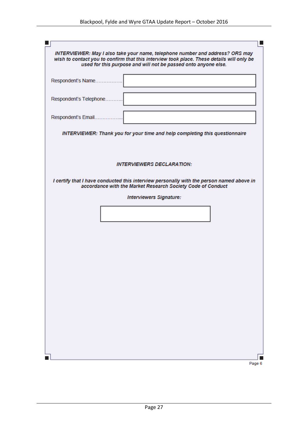| INTERVIEWER: May I also take your name, telephone number and address? ORS may<br>wish to contact you to confirm that this interview took place. These details will only be<br>used for this purpose and will not be passed onto anyone else. |
|----------------------------------------------------------------------------------------------------------------------------------------------------------------------------------------------------------------------------------------------|
| Respondent's Name.                                                                                                                                                                                                                           |
| Respondent's Telephone.                                                                                                                                                                                                                      |
| Respondent's Email.                                                                                                                                                                                                                          |
| <b>INTERVIEWER: Thank you for your time and help completing this questionnaire</b>                                                                                                                                                           |
|                                                                                                                                                                                                                                              |
| <b>INTERVIEWERS DECLARATION:</b>                                                                                                                                                                                                             |
| I certify that I have conducted this interview personally with the person named above in<br>accordance with the Market Research Society Code of Conduct                                                                                      |
| <b>Interviewers Signature:</b>                                                                                                                                                                                                               |
|                                                                                                                                                                                                                                              |
|                                                                                                                                                                                                                                              |
|                                                                                                                                                                                                                                              |
|                                                                                                                                                                                                                                              |
|                                                                                                                                                                                                                                              |
|                                                                                                                                                                                                                                              |
|                                                                                                                                                                                                                                              |
|                                                                                                                                                                                                                                              |
|                                                                                                                                                                                                                                              |
|                                                                                                                                                                                                                                              |

Page 6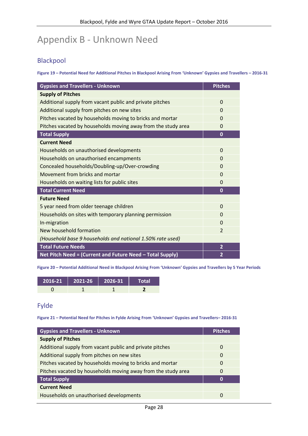## <span id="page-27-0"></span>Appendix B - Unknown Need

#### Blackpool

**Figure 19 – Potential Need for Additional Pitches in Blackpool Arising From 'Unknown' Gypsies and Travellers – 2016-31**

| <b>Gypsies and Travellers - Unknown</b>                       | <b>Pitches</b> |
|---------------------------------------------------------------|----------------|
| <b>Supply of Pitches</b>                                      |                |
| Additional supply from vacant public and private pitches      | $\Omega$       |
| Additional supply from pitches on new sites                   | $\Omega$       |
| Pitches vacated by households moving to bricks and mortar     | $\Omega$       |
| Pitches vacated by households moving away from the study area | $\Omega$       |
| <b>Total Supply</b>                                           | $\mathbf{0}$   |
| <b>Current Need</b>                                           |                |
| Households on unauthorised developments                       | $\Omega$       |
| Households on unauthorised encampments                        | $\Omega$       |
| Concealed households/Doubling-up/Over-crowding                | $\Omega$       |
| Movement from bricks and mortar                               | $\Omega$       |
| Households on waiting lists for public sites                  | $\Omega$       |
| <b>Total Current Need</b>                                     | $\mathbf 0$    |
| <b>Future Need</b>                                            |                |
| 5 year need from older teenage children                       | $\Omega$       |
| Households on sites with temporary planning permission        | $\Omega$       |
| In-migration                                                  | $\Omega$       |
| New household formation                                       | $\overline{2}$ |
| (Household base 9 households and national 1.50% rate used)    |                |
| <b>Total Future Needs</b>                                     | $\overline{2}$ |
| Net Pitch Need = (Current and Future Need - Total Supply)     | $\overline{2}$ |

**Figure 20 – Potential Additional Need in Blackpool Arising From 'Unknown' Gypsies and Travellers by 5 Year Periods**

| $2016-21$ 2021-26 2026-31 | Total |  |
|---------------------------|-------|--|
|                           |       |  |

## Fylde

**Figure 21 – Potential Need for Pitches in Fylde Arising From 'Unknown' Gypsies and Travellers– 2016-31**

| <b>Gypsies and Travellers - Unknown</b>                       | <b>Pitches</b> |
|---------------------------------------------------------------|----------------|
| <b>Supply of Pitches</b>                                      |                |
| Additional supply from vacant public and private pitches      | 0              |
| Additional supply from pitches on new sites                   | $\Omega$       |
| Pitches vacated by households moving to bricks and mortar     | 0              |
| Pitches vacated by households moving away from the study area | $\Omega$       |
| <b>Total Supply</b>                                           | 0              |
| <b>Current Need</b>                                           |                |
| Households on unauthorised developments                       | $\Omega$       |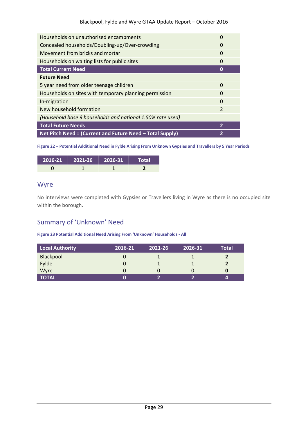| Households on unauthorised encampments                     | $\Omega$       |
|------------------------------------------------------------|----------------|
| Concealed households/Doubling-up/Over-crowding             | 0              |
| Movement from bricks and mortar                            | $\Omega$       |
| Households on waiting lists for public sites               | $\Omega$       |
| <b>Total Current Need</b>                                  | 0              |
| <b>Future Need</b>                                         |                |
| 5 year need from older teenage children                    | $\Omega$       |
| Households on sites with temporary planning permission     | $\Omega$       |
| In-migration                                               | $\Omega$       |
| New household formation                                    | $\overline{2}$ |
| (Household base 9 households and national 1.50% rate used) |                |
| <b>Total Future Needs</b>                                  | $\overline{2}$ |
| Net Pitch Need = (Current and Future Need - Total Supply)  | 2              |

**Figure 22 – Potential Additional Need in Fylde Arising From Unknown Gypsies and Travellers by 5 Year Periods**

| 2016-21   2021-26   2026-31 | Total |
|-----------------------------|-------|
|                             |       |

#### Wyre

No interviews were completed with Gypsies or Travellers living in Wyre as there is no occupied site within the borough.

## Summary of 'Unknown' Need

**Figure 23 Potential Additional Need Arising From 'Unknown' Households - All**

| Local Authority | 2016-21 | 2021-26 | 2026-31 | <b>Total</b> |
|-----------------|---------|---------|---------|--------------|
| Blackpool       |         |         |         |              |
| Fylde           |         |         |         |              |
| Wyre            |         |         |         |              |
| <b>TOTAL</b>    |         |         |         |              |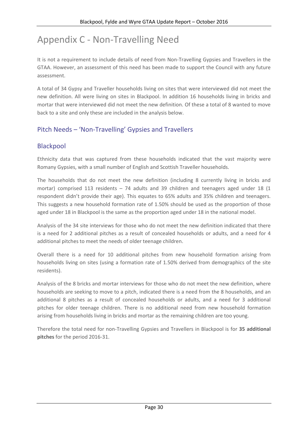## <span id="page-29-0"></span>Appendix C - Non-Travelling Need

It is not a requirement to include details of need from Non-Travelling Gypsies and Travellers in the GTAA. However, an assessment of this need has been made to support the Council with any future assessment.

A total of 34 Gypsy and Traveller households living on sites that were interviewed did not meet the new definition. All were living on sites in Blackpool. In addition 16 households living in bricks and mortar that were interviewed did not meet the new definition. Of these a total of 8 wanted to move back to a site and only these are included in the analysis below.

## Pitch Needs – 'Non-Travelling' Gypsies and Travellers

#### Blackpool

Ethnicity data that was captured from these households indicated that the vast majority were Romany Gypsies, with a small number of English and Scottish Traveller households.

The households that do not meet the new definition (including 8 currently living in bricks and mortar) comprised 113 residents – 74 adults and 39 children and teenagers aged under 18 (1 respondent didn't provide their age). This equates to 65% adults and 35% children and teenagers. This suggests a new household formation rate of 1.50% should be used as the proportion of those aged under 18 in Blackpool is the same as the proportion aged under 18 in the national model.

Analysis of the 34 site interviews for those who do not meet the new definition indicated that there is a need for 2 additional pitches as a result of concealed households or adults, and a need for 4 additional pitches to meet the needs of older teenage children.

Overall there is a need for 10 additional pitches from new household formation arising from households living on sites (using a formation rate of 1.50% derived from demographics of the site residents).

Analysis of the 8 bricks and mortar interviews for those who do not meet the new definition, where households are seeking to move to a pitch, indicated there is a need from the 8 households, and an additional 8 pitches as a result of concealed households or adults, and a need for 3 additional pitches for older teenage children. There is no additional need from new household formation arising from households living in bricks and mortar as the remaining children are too young.

Therefore the total need for non-Travelling Gypsies and Travellers in Blackpool is for **35 additional pitches** for the period 2016-31.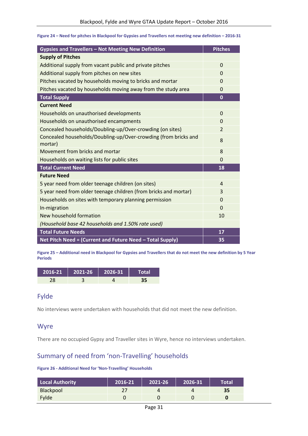| <b>Gypsies and Travellers - Not Meeting New Definition</b>                 | <b>Pitches</b> |
|----------------------------------------------------------------------------|----------------|
| <b>Supply of Pitches</b>                                                   |                |
| Additional supply from vacant public and private pitches                   | $\Omega$       |
| Additional supply from pitches on new sites                                | 0              |
| Pitches vacated by households moving to bricks and mortar                  | 0              |
| Pitches vacated by households moving away from the study area              | 0              |
| <b>Total Supply</b>                                                        | $\bf{0}$       |
| <b>Current Need</b>                                                        |                |
| Households on unauthorised developments                                    | $\Omega$       |
| Households on unauthorised encampments                                     | $\overline{0}$ |
| Concealed households/Doubling-up/Over-crowding (on sites)                  | $\overline{2}$ |
| Concealed households/Doubling-up/Over-crowding (from bricks and<br>mortar) | 8              |
| Movement from bricks and mortar                                            | 8              |
| Households on waiting lists for public sites                               | $\overline{0}$ |
| <b>Total Current Need</b>                                                  | 18             |
| <b>Future Need</b>                                                         |                |
| 5 year need from older teenage children (on sites)                         | $\overline{a}$ |
| 5 year need from older teenage children (from bricks and mortar)           | 3              |
| Households on sites with temporary planning permission                     | $\Omega$       |
| In-migration                                                               | $\Omega$       |
| New household formation                                                    | 10             |
| (Household base 42 households and 1.50% rate used)                         |                |
| <b>Total Future Needs</b>                                                  | 17             |
| Net Pitch Need = (Current and Future Need - Total Supply)                  | 35             |

**Figure 24 – Need for pitches in Blackpool for Gypsies and Travellers not meeting new definition – 2016-31**

**Figure 25 – Additional need in Blackpool for Gypsies and Travellers that do not meet the new definition by 5 Year Periods**

| $2016-21$ 2021-26 2026-31 |  | Total' |
|---------------------------|--|--------|
|                           |  |        |

#### Fylde

No interviews were undertaken with households that did not meet the new definition.

#### Wyre

There are no occupied Gypsy and Traveller sites in Wyre, hence no interviews undertaken.

## Summary of need from 'non-Travelling' households

#### **Figure 26 - Additional Need for 'Non-Travelling' Households**

| Local Authority  | 2016-21' | 2021-26 | 2026-31 | Total' |
|------------------|----------|---------|---------|--------|
| <b>Blackpool</b> | つつ       |         |         | 35     |
| Fylde            |          |         |         |        |